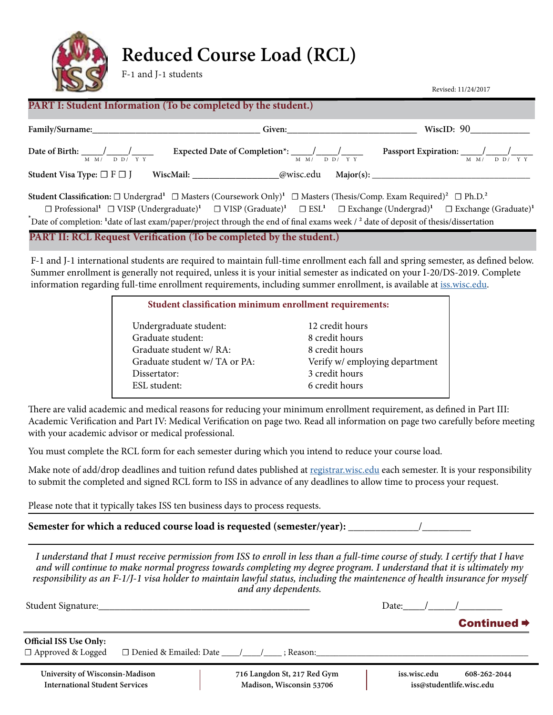

# **Reduced Course Load (RCL)**

F-1 and J-1 students

Revised: 11/24/2017

# **PART I: Student Information (To be completed by the student.)**

| Family/Surname: The Contract of the Contract of the Contract of the Contract of the Contract of the Contract of the Contract of the Contract of the Contract of the Contract of the Contract of the Contract of the Contract o | Given: Container and Container and Container and Container and Container and Container and Container and Container and Container and Container and Container and Container and Container and Container and Container and Conta | WiscID: 90                                                                                                                                                                                                             |  |  |  |  |
|--------------------------------------------------------------------------------------------------------------------------------------------------------------------------------------------------------------------------------|--------------------------------------------------------------------------------------------------------------------------------------------------------------------------------------------------------------------------------|------------------------------------------------------------------------------------------------------------------------------------------------------------------------------------------------------------------------|--|--|--|--|
| Date of Birth: $\frac{1}{2}$ /<br>$M$ $M/$ $D$ $D/$ $Y$ $Y$                                                                                                                                                                    | $M$ $M/$ $D$ $D/$ $Y$ $Y$                                                                                                                                                                                                      | Passport Expiration: $\frac{\sqrt{2}}{2}$<br>$M \times N$ DD/YY                                                                                                                                                        |  |  |  |  |
| Student Visa Type: $\Box$ F $\Box$ J                                                                                                                                                                                           | WiscMail: @wisc.edu                                                                                                                                                                                                            |                                                                                                                                                                                                                        |  |  |  |  |
| <b>Student Classification:</b> $\Box$ Undergrad <sup>1</sup> $\Box$ Masters (Coursework Only) <sup>1</sup> $\Box$ Masters (Thesis/Comp. Exam Required) <sup>2</sup> $\Box$ Ph.D. <sup>2</sup>                                  |                                                                                                                                                                                                                                |                                                                                                                                                                                                                        |  |  |  |  |
|                                                                                                                                                                                                                                |                                                                                                                                                                                                                                | $\Box$ Professional <sup>1</sup> $\Box$ VISP (Undergraduate) <sup>1</sup> $\Box$ VISP (Graduate) <sup>1</sup> $\Box$ EXL <sup>1</sup> $\Box$ Exchange (Undergrad) <sup>1</sup> $\Box$ Exchange (Graduate) <sup>1</sup> |  |  |  |  |
| The Date of completion: <sup>1</sup> date of last exam/paper/project through the end of final exams week / <sup>2</sup> date of deposit of thesis/dissertation                                                                 |                                                                                                                                                                                                                                |                                                                                                                                                                                                                        |  |  |  |  |
| PART II: RCL Request Verification (To be completed by the student.)                                                                                                                                                            |                                                                                                                                                                                                                                |                                                                                                                                                                                                                        |  |  |  |  |

F-1 and J-1 international students are required to maintain full-time enrollment each fall and spring semester, as defined below. Summer enrollment is generally not required, unless it is your initial semester as indicated on your I-20/DS-2019. Complete information regarding full-time enrollment requirements, including summer enrollment, is available at [iss.wisc.edu](http://iss.wisc.edu).

| Student classification minimum enrollment requirements: |                                |  |  |  |
|---------------------------------------------------------|--------------------------------|--|--|--|
| Undergraduate student:                                  | 12 credit hours                |  |  |  |
| Graduate student:                                       | 8 credit hours                 |  |  |  |
| Graduate student w/ RA:                                 | 8 credit hours                 |  |  |  |
| Graduate student w/ TA or PA:                           | Verify w/ employing department |  |  |  |
| Dissertator:                                            | 3 credit hours                 |  |  |  |
| ESL student:                                            | 6 credit hours                 |  |  |  |
|                                                         |                                |  |  |  |

There are valid academic and medical reasons for reducing your minimum enrollment requirement, as defined in Part III: Academic Verification and Part IV: Medical Verification on page two. Read all information on page two carefully before meeting with your academic advisor or medical professional.

You must complete the RCL form for each semester during which you intend to reduce your course load.

Make note of add/drop deadlines and tuition refund dates published at [registrar.wisc.edu](http://registrar.wisc.edu) each semester. It is your responsibility to submit the completed and signed RCL form to ISS in advance of any deadlines to allow time to process your request.

Please note that it typically takes ISS ten business days to process requests.

Semester for which a reduced course load is requested (semester/year): \_

*I understand that I must receive permission from ISS to enroll in less than a full-time course of study. I certify that I have and will continue to make normal progress towards completing my degree program. I understand that it is ultimately my responsibility as an F-1/J-1 visa holder to maintain lawful status, including the maintenence of health insurance for myself and any dependents.*

| Student Signature:                                        |                          |                             | Date:        |                         |
|-----------------------------------------------------------|--------------------------|-----------------------------|--------------|-------------------------|
|                                                           |                          |                             |              | Continued $\Rightarrow$ |
| <b>Official ISS Use Only:</b><br>$\Box$ Approved & Logged | □ Denied & Emailed: Date | : Reason:                   |              |                         |
| University of Wisconsin-Madison                           |                          | 716 Langdon St, 217 Red Gym | iss.wisc.edu | 608-262-2044            |